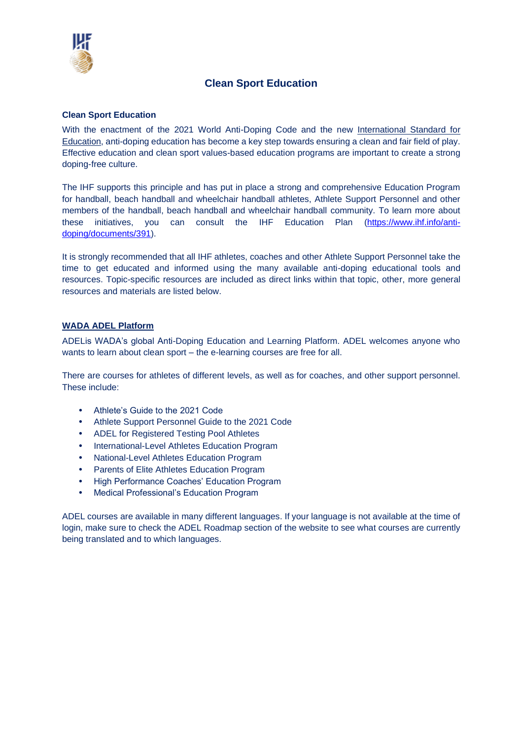

# **Clean Sport Education**

#### **Clean Sport Education**

With the enactment of the 2021 World Anti-Doping Code and the new [International Standard for](https://www.wada-ama.org/en/resources/guidelines-2021-international-standard-education-ise)  [Education,](https://www.wada-ama.org/en/resources/guidelines-2021-international-standard-education-ise) anti-doping education has become a key step towards ensuring a clean and fair field of play. Effective education and clean sport values-based education programs are important to create a strong doping-free culture.

The IHF supports this principle and has put in place a strong and comprehensive Education Program for handball, beach handball and wheelchair handball athletes, Athlete Support Personnel and other members of the handball, beach handball and wheelchair handball community. To learn more about these initiatives, you can consult the IHF Education Plan [\(https://www.ihf.info/anti](https://www.ihf.info/anti-doping/documents/391)[doping/documents/391\)](https://www.ihf.info/anti-doping/documents/391).

It is strongly recommended that all IHF athletes, coaches and other Athlete Support Personnel take the time to get educated and informed using the many available anti-doping educational tools and resources. Topic-specific resources are included as direct links within that topic, other, more general resources and materials are listed below.

## **[WADA ADEL Platform](https://adel.wada-ama.org/learn)**

[ADELi](https://adel.wada-ama.org/learn/signin)s WADA's global Anti-Doping Education and Learning Platform. ADEL welcomes anyone who wants to learn about clean sport – the e-learning courses are free for all.

There are courses for athletes of different levels, as well as for coaches, and other support personnel. These include:

- Athlete's Guide to the 2021 Code
- Athlete Support Personnel Guide to the 2021 Code
- ADEL for Registered Testing Pool Athletes
- International-Level Athletes Education Program
- National-Level Athletes Education Program
- Parents of Elite Athletes Education Program
- High Performance Coaches' Education Program
- Medical Professional's Education Program

ADEL courses are available in many different languages. If your language is not available at the time of login, make sure to check the ADEL Roadmap section of the website to see what courses are currently being translated and to which languages.